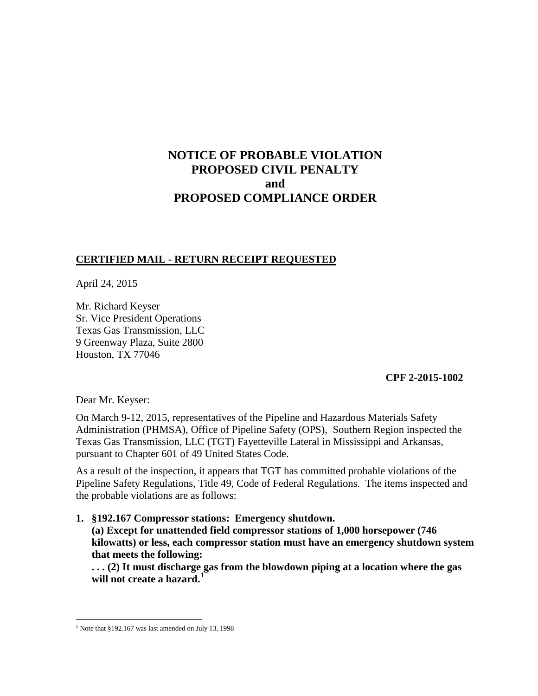# **NOTICE OF PROBABLE VIOLATION PROPOSED CIVIL PENALTY and PROPOSED COMPLIANCE ORDER**

## **CERTIFIED MAIL - RETURN RECEIPT REQUESTED**

April 24, 2015

Mr. Richard Keyser Sr. Vice President Operations Texas Gas Transmission, LLC 9 Greenway Plaza, Suite 2800 Houston, TX 77046

### **CPF 2-2015-1002**

Dear Mr. Keyser:

On March 9-12, 2015, representatives of the Pipeline and Hazardous Materials Safety Administration (PHMSA), Office of Pipeline Safety (OPS), Southern Region inspected the Texas Gas Transmission, LLC (TGT) Fayetteville Lateral in Mississippi and Arkansas, pursuant to Chapter 601 of 49 United States Code.

As a result of the inspection, it appears that TGT has committed probable violations of the Pipeline Safety Regulations, Title 49, Code of Federal Regulations. The items inspected and the probable violations are as follows:

**1. §192.167 Compressor stations: Emergency shutdown.** 

**(a) Except for unattended field compressor stations of 1,000 horsepower (746 kilowatts) or less, each compressor station must have an emergency shutdown system that meets the following:**

**. . . (2) It must discharge gas from the blowdown piping at a location where the gas will not create a hazard.<sup>1</sup>**

 $\overline{a}$  $1$  Note that §192.167 was last amended on July 13, 1998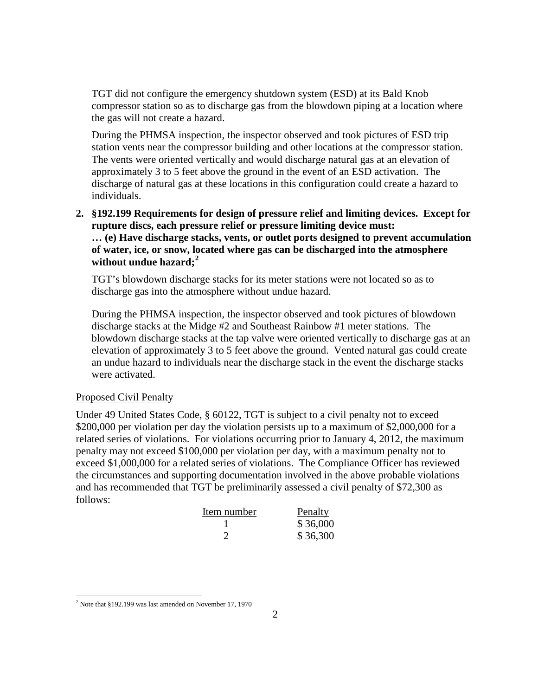TGT did not configure the emergency shutdown system (ESD) at its Bald Knob compressor station so as to discharge gas from the blowdown piping at a location where the gas will not create a hazard.

During the PHMSA inspection, the inspector observed and took pictures of ESD trip station vents near the compressor building and other locations at the compressor station. The vents were oriented vertically and would discharge natural gas at an elevation of approximately 3 to 5 feet above the ground in the event of an ESD activation. The discharge of natural gas at these locations in this configuration could create a hazard to individuals.

**2. §192.199 Requirements for design of pressure relief and limiting devices. Except for rupture discs, each pressure relief or pressure limiting device must: … (e) Have discharge stacks, vents, or outlet ports designed to prevent accumulation of water, ice, or snow, located where gas can be discharged into the atmosphere without undue hazard;<sup>2</sup>**

TGT's blowdown discharge stacks for its meter stations were not located so as to discharge gas into the atmosphere without undue hazard.

During the PHMSA inspection, the inspector observed and took pictures of blowdown discharge stacks at the Midge #2 and Southeast Rainbow #1 meter stations. The blowdown discharge stacks at the tap valve were oriented vertically to discharge gas at an elevation of approximately 3 to 5 feet above the ground. Vented natural gas could create an undue hazard to individuals near the discharge stack in the event the discharge stacks were activated.

#### Proposed Civil Penalty

 $\overline{a}$ 

Under 49 United States Code, § 60122, TGT is subject to a civil penalty not to exceed \$200,000 per violation per day the violation persists up to a maximum of \$2,000,000 for a related series of violations. For violations occurring prior to January 4, 2012, the maximum penalty may not exceed \$100,000 per violation per day, with a maximum penalty not to exceed \$1,000,000 for a related series of violations. The Compliance Officer has reviewed the circumstances and supporting documentation involved in the above probable violations and has recommended that TGT be preliminarily assessed a civil penalty of \$72,300 as follows:

| Item number | Penalty  |
|-------------|----------|
|             | \$36,000 |
|             | \$36,300 |

 $2$  Note that §192.199 was last amended on November 17, 1970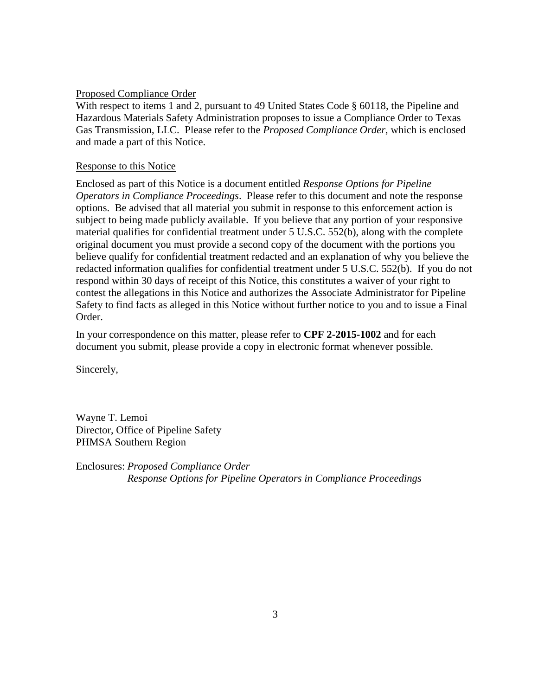#### Proposed Compliance Order

With respect to items 1 and 2, pursuant to 49 United States Code § 60118, the Pipeline and Hazardous Materials Safety Administration proposes to issue a Compliance Order to Texas Gas Transmission, LLC. Please refer to the *Proposed Compliance Order*, which is enclosed and made a part of this Notice.

#### Response to this Notice

Enclosed as part of this Notice is a document entitled *Response Options for Pipeline Operators in Compliance Proceedings*. Please refer to this document and note the response options. Be advised that all material you submit in response to this enforcement action is subject to being made publicly available. If you believe that any portion of your responsive material qualifies for confidential treatment under 5 U.S.C. 552(b), along with the complete original document you must provide a second copy of the document with the portions you believe qualify for confidential treatment redacted and an explanation of why you believe the redacted information qualifies for confidential treatment under 5 U.S.C. 552(b). If you do not respond within 30 days of receipt of this Notice, this constitutes a waiver of your right to contest the allegations in this Notice and authorizes the Associate Administrator for Pipeline Safety to find facts as alleged in this Notice without further notice to you and to issue a Final Order.

In your correspondence on this matter, please refer to **CPF 2-2015-1002** and for each document you submit, please provide a copy in electronic format whenever possible.

Sincerely,

Wayne T. Lemoi Director, Office of Pipeline Safety PHMSA Southern Region

Enclosures: *Proposed Compliance Order Response Options for Pipeline Operators in Compliance Proceedings*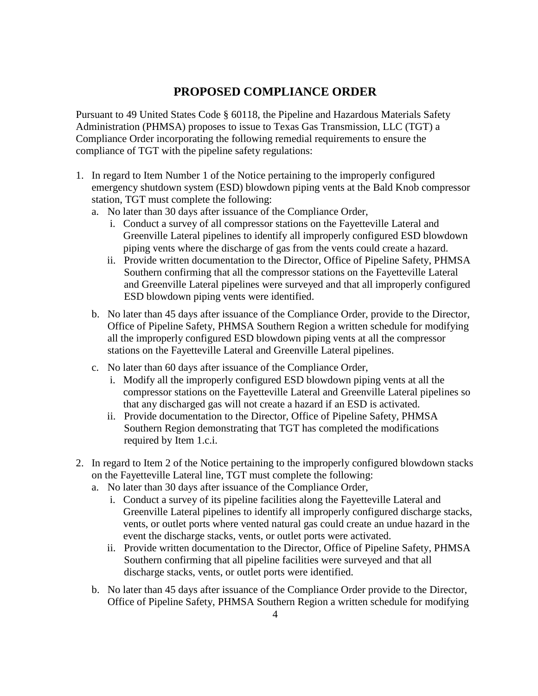## **PROPOSED COMPLIANCE ORDER**

Pursuant to 49 United States Code § 60118, the Pipeline and Hazardous Materials Safety Administration (PHMSA) proposes to issue to Texas Gas Transmission, LLC (TGT) a Compliance Order incorporating the following remedial requirements to ensure the compliance of TGT with the pipeline safety regulations:

- 1. In regard to Item Number 1 of the Notice pertaining to the improperly configured emergency shutdown system (ESD) blowdown piping vents at the Bald Knob compressor station, TGT must complete the following:
	- a. No later than 30 days after issuance of the Compliance Order,
		- i. Conduct a survey of all compressor stations on the Fayetteville Lateral and Greenville Lateral pipelines to identify all improperly configured ESD blowdown piping vents where the discharge of gas from the vents could create a hazard.
		- ii. Provide written documentation to the Director, Office of Pipeline Safety, PHMSA Southern confirming that all the compressor stations on the Fayetteville Lateral and Greenville Lateral pipelines were surveyed and that all improperly configured ESD blowdown piping vents were identified.
	- b. No later than 45 days after issuance of the Compliance Order, provide to the Director, Office of Pipeline Safety, PHMSA Southern Region a written schedule for modifying all the improperly configured ESD blowdown piping vents at all the compressor stations on the Fayetteville Lateral and Greenville Lateral pipelines.
	- c. No later than 60 days after issuance of the Compliance Order,
		- i. Modify all the improperly configured ESD blowdown piping vents at all the compressor stations on the Fayetteville Lateral and Greenville Lateral pipelines so that any discharged gas will not create a hazard if an ESD is activated.
		- ii. Provide documentation to the Director, Office of Pipeline Safety, PHMSA Southern Region demonstrating that TGT has completed the modifications required by Item 1.c.i.
- 2. In regard to Item 2 of the Notice pertaining to the improperly configured blowdown stacks on the Fayetteville Lateral line, TGT must complete the following:
	- a. No later than 30 days after issuance of the Compliance Order,
		- i. Conduct a survey of its pipeline facilities along the Fayetteville Lateral and Greenville Lateral pipelines to identify all improperly configured discharge stacks, vents, or outlet ports where vented natural gas could create an undue hazard in the event the discharge stacks, vents, or outlet ports were activated.
		- ii. Provide written documentation to the Director, Office of Pipeline Safety, PHMSA Southern confirming that all pipeline facilities were surveyed and that all discharge stacks, vents, or outlet ports were identified.
	- b. No later than 45 days after issuance of the Compliance Order provide to the Director, Office of Pipeline Safety, PHMSA Southern Region a written schedule for modifying